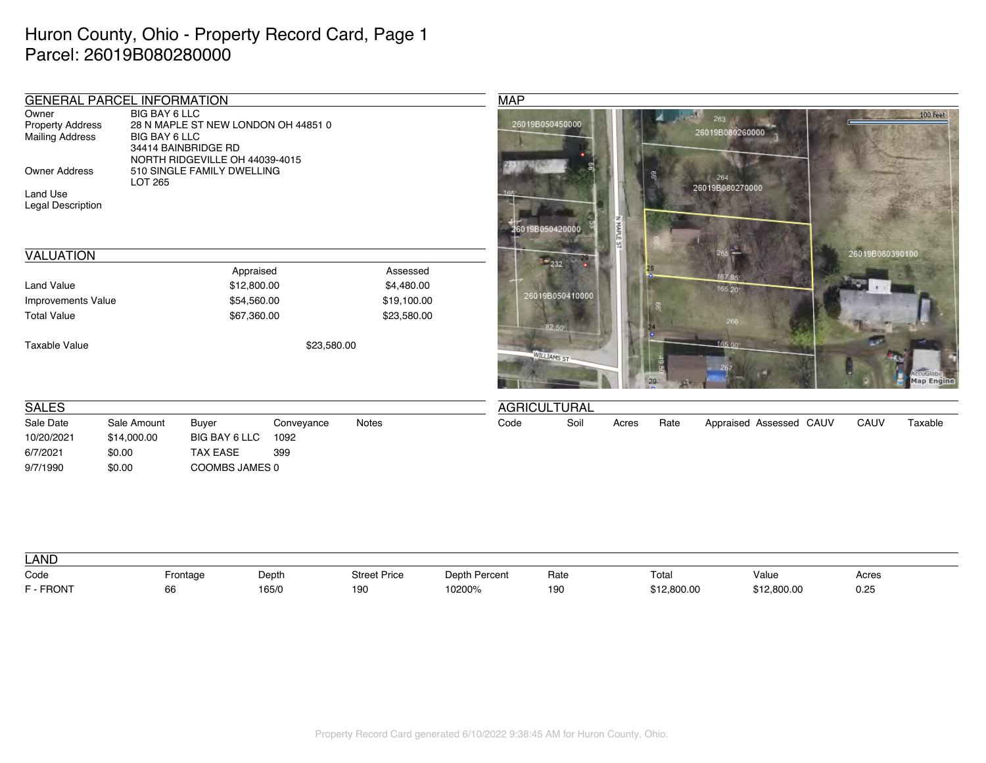## Huron County, Ohio - Property Record Card, Page 1 Parcel: 26019B080280000

| <b>GENERAL PARCEL INFORMATION</b>                          |                                       |                                                                                              |             |             | <b>MAP</b>          |                  |               |                        |                         |                 |            |
|------------------------------------------------------------|---------------------------------------|----------------------------------------------------------------------------------------------|-------------|-------------|---------------------|------------------|---------------|------------------------|-------------------------|-----------------|------------|
| Owner<br><b>Property Address</b><br><b>Mailing Address</b> | <b>BIG BAY 6 LLC</b><br>BIG BAY 6 LLC | 28 N MAPLE ST NEW LONDON OH 44851 0<br>34414 BAINBRIDGE RD<br>NORTH RIDGEVILLE OH 44039-4015 |             |             | 26019B050450000     |                  |               | 263<br>26019B080260000 |                         |                 | 100 Feet   |
| <b>Owner Address</b>                                       | LOT 265                               | 510 SINGLE FAMILY DWELLING                                                                   |             |             |                     |                  |               | 264                    |                         |                 |            |
| Land Use<br>Legal Description                              |                                       |                                                                                              |             |             |                     | 26019B050420000  |               | 26019B080270000        |                         |                 |            |
| <b>VALUATION</b>                                           |                                       |                                                                                              |             |             |                     | $^{\bullet}$ 232 |               |                        |                         | 26019B080390100 |            |
|                                                            |                                       | Appraised                                                                                    |             | Assessed    |                     |                  |               | 167,85                 |                         |                 |            |
| <b>Land Value</b>                                          |                                       | \$12,800.00                                                                                  |             | \$4,480.00  |                     |                  |               | 165.20                 |                         |                 |            |
| <b>Improvements Value</b>                                  |                                       | \$54,560.00                                                                                  |             | \$19,100.00 |                     | 26019B050410000  |               |                        |                         |                 |            |
| <b>Total Value</b>                                         |                                       | \$67,360.00                                                                                  |             | \$23,580.00 |                     | $82.50^{\circ}$  |               | 266                    |                         |                 |            |
| <b>Taxable Value</b>                                       |                                       |                                                                                              | \$23,580.00 |             |                     | WILLIAMS ST      |               | 165.00                 |                         |                 | Map Engine |
| <b>SALES</b>                                               |                                       |                                                                                              |             |             | <b>AGRICULTURAL</b> |                  |               |                        |                         |                 |            |
| Sale Date                                                  | Sale Amount                           | Buyer                                                                                        | Conveyance  | Notes       | Code                | Soil             | Rate<br>Acres |                        | Appraised Assessed CAUV | CAUV            | Taxable    |
| 10/20/2021                                                 | \$14,000.00                           | BIG BAY 6 LLC<br>1092                                                                        |             |             |                     |                  |               |                        |                         |                 |            |
| 6/7/2021                                                   | \$0.00                                | <b>TAX EASE</b><br>399                                                                       |             |             |                     |                  |               |                        |                         |                 |            |
| 9/7/1990                                                   | \$0.00                                | COOMBS JAMES 0                                                                               |             |             |                     |                  |               |                        |                         |                 |            |

| <b>LAND</b> |          |       |                     |                  |      |             |             |       |
|-------------|----------|-------|---------------------|------------------|------|-------------|-------------|-------|
| Code        | -rontage | Depth | <b>Street Price</b> | Depth<br>Percent | Rate | Total       | Value       | Acres |
| F - FRONT   | 66       | 165/0 | 100<br>             | 10200%           | 190  | \$12,800.00 | \$12,800.00 | 0.25  |